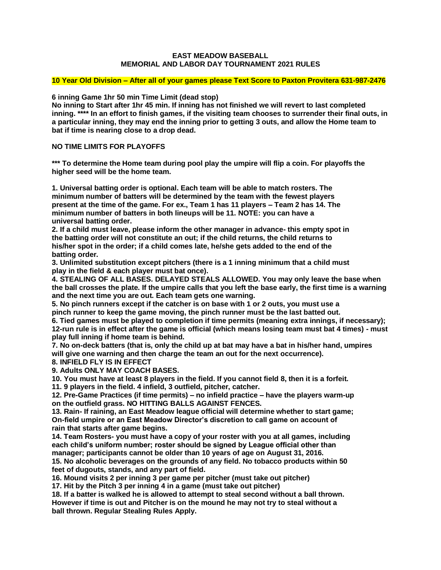#### **EAST MEADOW BASEBALL MEMORIAL AND LABOR DAY TOURNAMENT 2021 RULES**

#### **10 Year Old Division – After all of your games please Text Score to Paxton Provitera 631-987-2476**

**6 inning Game 1hr 50 min Time Limit (dead stop)**

**No inning to Start after 1hr 45 min. If inning has not finished we will revert to last completed inning. \*\*\*\* In an effort to finish games, if the visiting team chooses to surrender their final outs, in a particular inning, they may end the inning prior to getting 3 outs, and allow the Home team to bat if time is nearing close to a drop dead.** 

### **NO TIME LIMITS FOR PLAYOFFS**

**\*\*\* To determine the Home team during pool play the umpire will flip a coin. For playoffs the higher seed will be the home team.** 

**1. Universal batting order is optional. Each team will be able to match rosters. The minimum number of batters will be determined by the team with the fewest players present at the time of the game. For ex., Team 1 has 11 players – Team 2 has 14. The minimum number of batters in both lineups will be 11. NOTE: you can have a universal batting order.**

**2. If a child must leave, please inform the other manager in advance- this empty spot in the batting order will not constitute an out; if the child returns, the child returns to his/her spot in the order; if a child comes late, he/she gets added to the end of the batting order.**

**3. Unlimited substitution except pitchers (there is a 1 inning minimum that a child must play in the field & each player must bat once).**

**4. STEALING OF ALL BASES. DELAYED STEALS ALLOWED. You may only leave the base when the ball crosses the plate. If the umpire calls that you left the base early, the first time is a warning and the next time you are out. Each team gets one warning.** 

**5. No pinch runners except if the catcher is on base with 1 or 2 outs, you must use a pinch runner to keep the game moving, the pinch runner must be the last batted out.**

**6. Tied games must be played to completion if time permits (meaning extra innings, if necessary); 12-run rule is in effect after the game is official (which means losing team must bat 4 times) - must play full inning if home team is behind.**

**7. No on-deck batters (that is, only the child up at bat may have a bat in his/her hand, umpires will give one warning and then charge the team an out for the next occurrence).**

### **8. INFIELD FLY IS IN EFFECT**

**9. Adults ONLY MAY COACH BASES.**

**10. You must have at least 8 players in the field. If you cannot field 8, then it is a forfeit.**

**11. 9 players in the field. 4 infield, 3 outfield, pitcher, catcher.**

**12. Pre-Game Practices (if time permits) – no infield practice – have the players warm-up on the outfield grass. NO HITTING BALLS AGAINST FENCES.**

**13. Rain- If raining, an East Meadow league official will determine whether to start game; On-field umpire or an East Meadow Director's discretion to call game on account of rain that starts after game begins.**

**14. Team Rosters- you must have a copy of your roster with you at all games, including each child's uniform number; roster should be signed by League official other than manager; participants cannot be older than 10 years of age on August 31, 2016. 15. No alcoholic beverages on the grounds of any field. No tobacco products within 50**

**feet of dugouts, stands, and any part of field.**

**16. Mound visits 2 per inning 3 per game per pitcher (must take out pitcher)**

**17. Hit by the Pitch 3 per inning 4 in a game (must take out pitcher)**

**18. If a batter is walked he is allowed to attempt to steal second without a ball thrown. However if time is out and Pitcher is on the mound he may not try to steal without a ball thrown. Regular Stealing Rules Apply.**